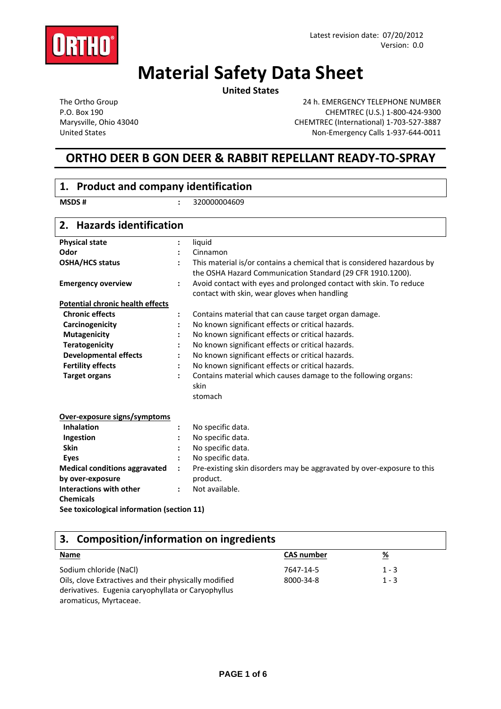

# **Material Safety Data Sheet**

**United States**

The Ortho Group P.O. Box 190 Marysville, Ohio 43040 United States

24 h. EMERGENCY TELEPHONE NUMBER CHEMTREC (U.S.) 1‐800‐424‐9300 CHEMTREC (International) 1‐703‐527‐3887 Non‐Emergency Calls 1‐937‐644‐0011

## **ORTHO DEER B GON DEER & RABBIT REPELLANT READY‐TO‐SPRAY**

| 1. Product and company identification      |                                                                                                |
|--------------------------------------------|------------------------------------------------------------------------------------------------|
| <b>MSDS#</b>                               | 320000004609<br>$\ddot{\cdot}$                                                                 |
| <b>Hazards identification</b><br>2.        |                                                                                                |
| <b>Physical state</b>                      | liquid                                                                                         |
| Odor                                       | Cinnamon                                                                                       |
| <b>OSHA/HCS status</b>                     | This material is/or contains a chemical that is considered hazardous by                        |
|                                            | the OSHA Hazard Communication Standard (29 CFR 1910.1200).                                     |
| <b>Emergency overview</b>                  | Avoid contact with eyes and prolonged contact with skin. To reduce<br>$\ddot{\cdot}$           |
|                                            | contact with skin, wear gloves when handling                                                   |
| <b>Potential chronic health effects</b>    |                                                                                                |
| <b>Chronic effects</b>                     | Contains material that can cause target organ damage.<br>:                                     |
| Carcinogenicity                            | No known significant effects or critical hazards.                                              |
| <b>Mutagenicity</b>                        | No known significant effects or critical hazards.                                              |
| <b>Teratogenicity</b>                      | No known significant effects or critical hazards.                                              |
| <b>Developmental effects</b>               | No known significant effects or critical hazards.                                              |
| <b>Fertility effects</b>                   | No known significant effects or critical hazards.                                              |
| <b>Target organs</b>                       | Contains material which causes damage to the following organs:<br>$\ddot{\cdot}$               |
|                                            | skin                                                                                           |
|                                            | stomach                                                                                        |
| Over-exposure signs/symptoms               |                                                                                                |
| <b>Inhalation</b>                          | No specific data.                                                                              |
| Ingestion                                  | No specific data.                                                                              |
| <b>Skin</b>                                | No specific data.                                                                              |
| <b>Eves</b>                                | No specific data.                                                                              |
| <b>Medical conditions aggravated</b>       | Pre-existing skin disorders may be aggravated by over-exposure to this<br>$\ddot{\phantom{a}}$ |
| by over-exposure                           | product.                                                                                       |
| Interactions with other                    | Not available.                                                                                 |
| <b>Chemicals</b>                           |                                                                                                |
| See toxicological information (section 11) |                                                                                                |

### **3. Composition/information on ingredients**

| <u>Name</u>                                           | <b>CAS number</b> | <u>%</u> |
|-------------------------------------------------------|-------------------|----------|
| Sodium chloride (NaCl)                                | 7647-14-5         | $1 - 3$  |
| Oils, clove Extractives and their physically modified | 8000-34-8         | $1 - 3$  |
| derivatives. Eugenia caryophyllata or Caryophyllus    |                   |          |
| aromaticus, Myrtaceae.                                |                   |          |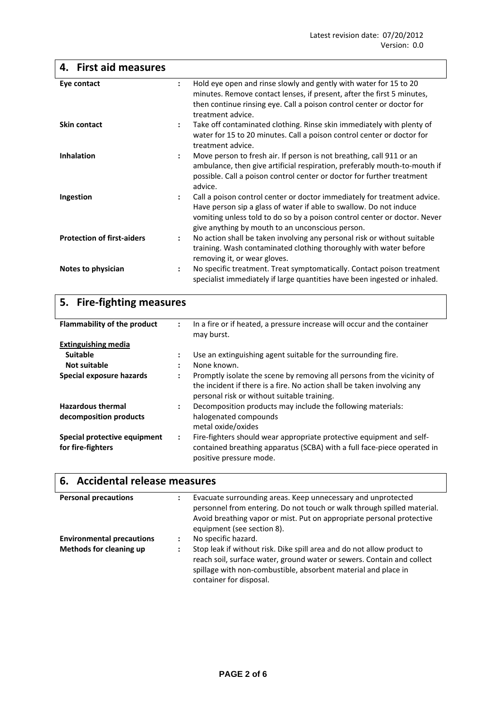| <b>First aid measures</b><br>4.                   |                      |                                                                                                                                                                                                                                                                                 |
|---------------------------------------------------|----------------------|---------------------------------------------------------------------------------------------------------------------------------------------------------------------------------------------------------------------------------------------------------------------------------|
| Eye contact                                       | $\ddot{\cdot}$       | Hold eye open and rinse slowly and gently with water for 15 to 20<br>minutes. Remove contact lenses, if present, after the first 5 minutes,<br>then continue rinsing eye. Call a poison control center or doctor for<br>treatment advice.                                       |
| <b>Skin contact</b>                               | $\ddot{\phantom{a}}$ | Take off contaminated clothing. Rinse skin immediately with plenty of<br>water for 15 to 20 minutes. Call a poison control center or doctor for<br>treatment advice.                                                                                                            |
| <b>Inhalation</b>                                 | $\ddot{\phantom{a}}$ | Move person to fresh air. If person is not breathing, call 911 or an<br>ambulance, then give artificial respiration, preferably mouth-to-mouth if<br>possible. Call a poison control center or doctor for further treatment<br>advice.                                          |
| Ingestion                                         | $\ddot{\cdot}$       | Call a poison control center or doctor immediately for treatment advice.<br>Have person sip a glass of water if able to swallow. Do not induce<br>vomiting unless told to do so by a poison control center or doctor. Never<br>give anything by mouth to an unconscious person. |
| <b>Protection of first-aiders</b>                 | $\ddot{\cdot}$       | No action shall be taken involving any personal risk or without suitable<br>training. Wash contaminated clothing thoroughly with water before<br>removing it, or wear gloves.                                                                                                   |
| Notes to physician                                | $\ddot{\cdot}$       | No specific treatment. Treat symptomatically. Contact poison treatment<br>specialist immediately if large quantities have been ingested or inhaled.                                                                                                                             |
| <b>Fire-fighting measures</b><br>5.               |                      |                                                                                                                                                                                                                                                                                 |
| <b>Flammability of the product</b>                | $\ddot{\cdot}$       | In a fire or if heated, a pressure increase will occur and the container<br>may burst.                                                                                                                                                                                          |
| <b>Extinguishing media</b>                        |                      |                                                                                                                                                                                                                                                                                 |
| <b>Suitable</b>                                   | $\ddot{\cdot}$       | Use an extinguishing agent suitable for the surrounding fire.                                                                                                                                                                                                                   |
| <b>Not suitable</b>                               |                      | None known.                                                                                                                                                                                                                                                                     |
| <b>Special exposure hazards</b>                   | $\ddot{\cdot}$       | Promptly isolate the scene by removing all persons from the vicinity of<br>the incident if there is a fire. No action shall be taken involving any<br>personal risk or without suitable training.                                                                               |
| <b>Hazardous thermal</b>                          | $\ddot{\cdot}$       | Decomposition products may include the following materials:                                                                                                                                                                                                                     |
| decomposition products                            |                      | halogenated compounds<br>metal oxide/oxides                                                                                                                                                                                                                                     |
| Special protective equipment<br>for fire-fighters | $\ddot{\cdot}$       | Fire-fighters should wear appropriate protective equipment and self-<br>contained breathing apparatus (SCBA) with a full face-piece operated in<br>positive pressure mode.                                                                                                      |

| 6. Accidental release measures   |                |                                                                                                                                                                                                                                                |  |
|----------------------------------|----------------|------------------------------------------------------------------------------------------------------------------------------------------------------------------------------------------------------------------------------------------------|--|
| <b>Personal precautions</b>      | :              | Evacuate surrounding areas. Keep unnecessary and unprotected<br>personnel from entering. Do not touch or walk through spilled material.<br>Avoid breathing vapor or mist. Put on appropriate personal protective<br>equipment (see section 8). |  |
| <b>Environmental precautions</b> | $\ddot{\cdot}$ | No specific hazard.                                                                                                                                                                                                                            |  |
| <b>Methods for cleaning up</b>   | $\ddot{\cdot}$ | Stop leak if without risk. Dike spill area and do not allow product to<br>reach soil, surface water, ground water or sewers. Contain and collect<br>spillage with non-combustible, absorbent material and place in<br>container for disposal.  |  |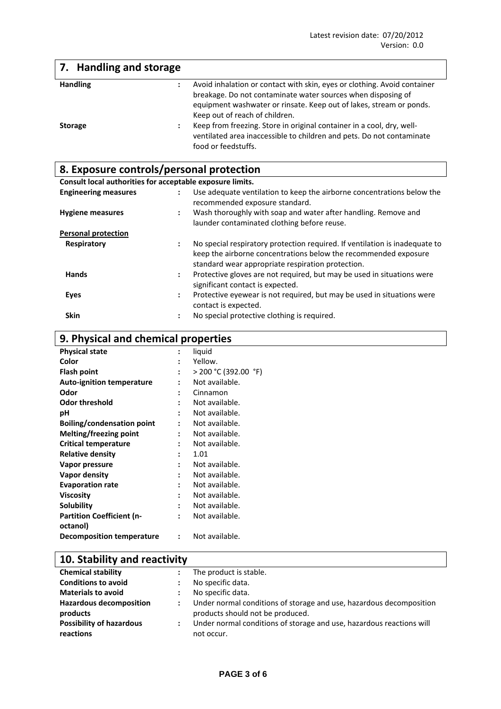| 7. Handling and storage |                                                                                                                                                                                                                                                   |
|-------------------------|---------------------------------------------------------------------------------------------------------------------------------------------------------------------------------------------------------------------------------------------------|
| <b>Handling</b>         | Avoid inhalation or contact with skin, eyes or clothing. Avoid container<br>breakage. Do not contaminate water sources when disposing of<br>equipment washwater or rinsate. Keep out of lakes, stream or ponds.<br>Keep out of reach of children. |
| <b>Storage</b>          | Keep from freezing. Store in original container in a cool, dry, well-<br>ventilated area inaccessible to children and pets. Do not contaminate<br>food or feedstuffs.                                                                             |

# **8. Exposure controls/personal protection**

**Consult local authorities for acceptable exposure limits.**

| <b>Engineering measures</b> | Use adequate ventilation to keep the airborne concentrations below the<br>$\ddot{\phantom{a}}$<br>recommended exposure standard.                                                                         |
|-----------------------------|----------------------------------------------------------------------------------------------------------------------------------------------------------------------------------------------------------|
| <b>Hygiene measures</b>     | Wash thoroughly with soap and water after handling. Remove and<br>$\ddot{\phantom{a}}$<br>launder contaminated clothing before reuse.                                                                    |
| <b>Personal protection</b>  |                                                                                                                                                                                                          |
| Respiratory                 | No special respiratory protection required. If ventilation is inadequate to<br>÷<br>keep the airborne concentrations below the recommended exposure<br>standard wear appropriate respiration protection. |
| <b>Hands</b>                | Protective gloves are not required, but may be used in situations were<br>$\mathbf{L}$<br>significant contact is expected.                                                                               |
| Eyes                        | Protective eyewear is not required, but may be used in situations were<br>$\ddot{\phantom{a}}$<br>contact is expected.                                                                                   |
| <b>Skin</b>                 | No special protective clothing is required.                                                                                                                                                              |

# **9. Physical and chemical properties**

| <b>Physical state</b>            | $\ddot{\cdot}$       | liquid                 |
|----------------------------------|----------------------|------------------------|
| Color                            | ÷                    | Yellow.                |
| <b>Flash point</b>               | $\ddot{\phantom{a}}$ | $>$ 200 °C (392.00 °F) |
| <b>Auto-ignition temperature</b> | $\ddot{\phantom{a}}$ | Not available.         |
| Odor                             | ÷                    | Cinnamon               |
| <b>Odor threshold</b>            | ÷                    | Not available.         |
| рH                               | ÷                    | Not available.         |
| Boiling/condensation point       | ÷                    | Not available.         |
| Melting/freezing point           | $\ddot{\phantom{a}}$ | Not available.         |
| <b>Critical temperature</b>      | ٠                    | Not available.         |
| <b>Relative density</b>          | $\ddot{\cdot}$       | 1.01                   |
| Vapor pressure                   | $\ddot{\phantom{a}}$ | Not available.         |
| Vapor density                    | $\bullet$            | Not available.         |
| <b>Evaporation rate</b>          | $\bullet$            | Not available.         |
| <b>Viscosity</b>                 | ٠                    | Not available.         |
| Solubility                       | ٠                    | Not available.         |
| <b>Partition Coefficient (n-</b> | ٠                    | Not available.         |
| octanol)                         |                      |                        |
| <b>Decomposition temperature</b> | $\ddot{\phantom{a}}$ | Not available.         |

| 10. Stability and reactivity                 |                      |                                                                                                         |  |
|----------------------------------------------|----------------------|---------------------------------------------------------------------------------------------------------|--|
| <b>Chemical stability</b>                    |                      | The product is stable.                                                                                  |  |
| <b>Conditions to avoid</b>                   |                      | No specific data.                                                                                       |  |
| <b>Materials to avoid</b>                    |                      | No specific data.                                                                                       |  |
| <b>Hazardous decomposition</b><br>products   | $\ddot{\phantom{a}}$ | Under normal conditions of storage and use, hazardous decomposition<br>products should not be produced. |  |
| <b>Possibility of hazardous</b><br>reactions | $\ddot{\phantom{a}}$ | Under normal conditions of storage and use, hazardous reactions will<br>not occur.                      |  |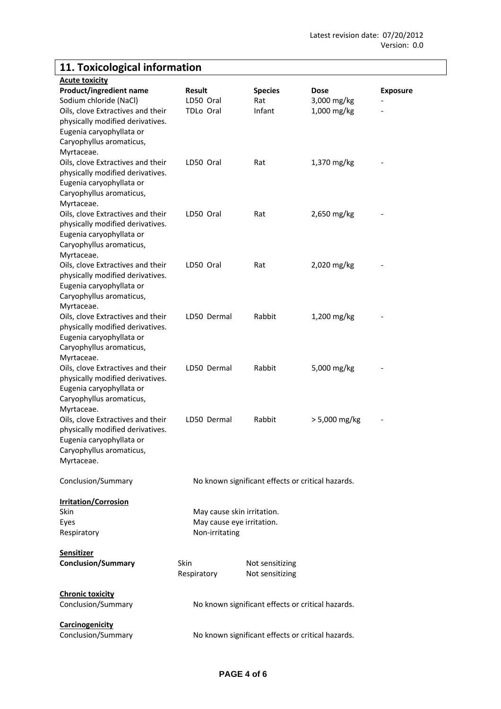# **11. Toxicological information**

| <b>Acute toxicity</b>             |                            |                                                   |                 |                 |
|-----------------------------------|----------------------------|---------------------------------------------------|-----------------|-----------------|
| <b>Product/ingredient name</b>    | <b>Result</b>              | <b>Species</b>                                    | Dose            | <b>Exposure</b> |
| Sodium chloride (NaCl)            | LD50 Oral                  | Rat                                               | 3,000 mg/kg     |                 |
| Oils, clove Extractives and their | TDLo Oral                  | Infant                                            | 1,000 mg/kg     |                 |
| physically modified derivatives.  |                            |                                                   |                 |                 |
| Eugenia caryophyllata or          |                            |                                                   |                 |                 |
| Caryophyllus aromaticus,          |                            |                                                   |                 |                 |
| Myrtaceae.                        |                            |                                                   |                 |                 |
| Oils, clove Extractives and their | LD50 Oral                  | Rat                                               | 1,370 mg/kg     |                 |
| physically modified derivatives.  |                            |                                                   |                 |                 |
| Eugenia caryophyllata or          |                            |                                                   |                 |                 |
| Caryophyllus aromaticus,          |                            |                                                   |                 |                 |
| Myrtaceae.                        |                            |                                                   |                 |                 |
| Oils, clove Extractives and their | LD50 Oral                  | Rat                                               | 2,650 mg/kg     |                 |
| physically modified derivatives.  |                            |                                                   |                 |                 |
| Eugenia caryophyllata or          |                            |                                                   |                 |                 |
| Caryophyllus aromaticus,          |                            |                                                   |                 |                 |
| Myrtaceae.                        |                            |                                                   |                 |                 |
| Oils, clove Extractives and their | LD50 Oral                  | Rat                                               | 2,020 mg/kg     |                 |
| physically modified derivatives.  |                            |                                                   |                 |                 |
| Eugenia caryophyllata or          |                            |                                                   |                 |                 |
| Caryophyllus aromaticus,          |                            |                                                   |                 |                 |
| Myrtaceae.                        |                            |                                                   |                 |                 |
| Oils, clove Extractives and their | LD50 Dermal                | Rabbit                                            | 1,200 mg/kg     |                 |
| physically modified derivatives.  |                            |                                                   |                 |                 |
| Eugenia caryophyllata or          |                            |                                                   |                 |                 |
| Caryophyllus aromaticus,          |                            |                                                   |                 |                 |
| Myrtaceae.                        |                            |                                                   |                 |                 |
| Oils, clove Extractives and their | LD50 Dermal                | Rabbit                                            | 5,000 mg/kg     |                 |
| physically modified derivatives.  |                            |                                                   |                 |                 |
| Eugenia caryophyllata or          |                            |                                                   |                 |                 |
| Caryophyllus aromaticus,          |                            |                                                   |                 |                 |
| Myrtaceae.                        |                            |                                                   |                 |                 |
| Oils, clove Extractives and their | LD50 Dermal                | Rabbit                                            | $> 5,000$ mg/kg |                 |
| physically modified derivatives.  |                            |                                                   |                 |                 |
| Eugenia caryophyllata or          |                            |                                                   |                 |                 |
| Caryophyllus aromaticus,          |                            |                                                   |                 |                 |
| Myrtaceae.                        |                            |                                                   |                 |                 |
|                                   |                            |                                                   |                 |                 |
| Conclusion/Summary                |                            | No known significant effects or critical hazards. |                 |                 |
| <b>Irritation/Corrosion</b>       |                            |                                                   |                 |                 |
| Skin                              | May cause skin irritation. |                                                   |                 |                 |
| Eyes                              | May cause eye irritation.  |                                                   |                 |                 |
| Respiratory                       | Non-irritating             |                                                   |                 |                 |
|                                   |                            |                                                   |                 |                 |
| <b>Sensitizer</b>                 |                            |                                                   |                 |                 |
| <b>Conclusion/Summary</b>         | <b>Skin</b>                | Not sensitizing                                   |                 |                 |
|                                   | Respiratory                | Not sensitizing                                   |                 |                 |
|                                   |                            |                                                   |                 |                 |
| <b>Chronic toxicity</b>           |                            |                                                   |                 |                 |
| Conclusion/Summary                |                            | No known significant effects or critical hazards. |                 |                 |
|                                   |                            |                                                   |                 |                 |
| <b>Carcinogenicity</b>            |                            |                                                   |                 |                 |
| Conclusion/Summary                |                            | No known significant effects or critical hazards. |                 |                 |
|                                   |                            |                                                   |                 |                 |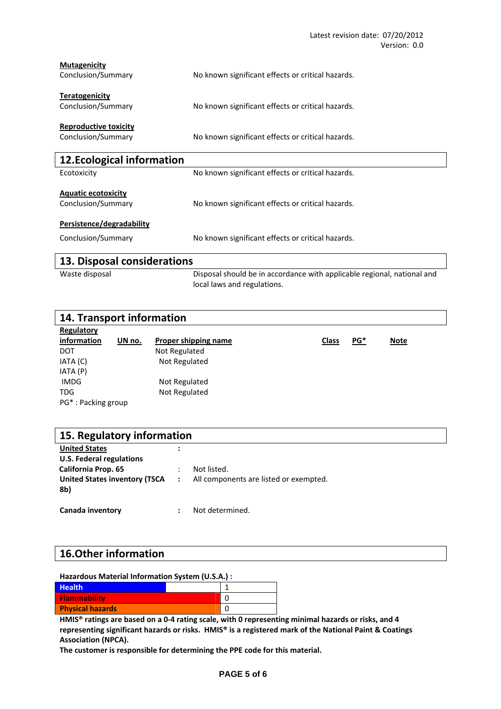| <b>Mutagenicity</b><br>Conclusion/Summary          | No known significant effects or critical hazards.                                                      |
|----------------------------------------------------|--------------------------------------------------------------------------------------------------------|
| <b>Teratogenicity</b><br>Conclusion/Summary        | No known significant effects or critical hazards.                                                      |
| <b>Reproductive toxicity</b><br>Conclusion/Summary | No known significant effects or critical hazards.                                                      |
| 12. Ecological information                         |                                                                                                        |
| Ecotoxicity                                        | No known significant effects or critical hazards.                                                      |
| <b>Aquatic ecotoxicity</b><br>Conclusion/Summary   | No known significant effects or critical hazards.                                                      |
| Persistence/degradability                          |                                                                                                        |
| Conclusion/Summary                                 | No known significant effects or critical hazards.                                                      |
| 13. Disposal considerations                        |                                                                                                        |
| Waste disposal                                     | Disposal should be in accordance with applicable regional, national and<br>local laws and regulations. |

| 14. Transport information |        |                             |  |              |            |             |  |
|---------------------------|--------|-----------------------------|--|--------------|------------|-------------|--|
| Regulatory                |        |                             |  |              |            |             |  |
| information               | UN no. | <b>Proper shipping name</b> |  | <b>Class</b> | <u>PG*</u> | <b>Note</b> |  |
| DOT                       |        | Not Regulated               |  |              |            |             |  |
| IATA (C)                  |        | Not Regulated               |  |              |            |             |  |
| IATA (P)                  |        |                             |  |              |            |             |  |
| <b>IMDG</b>               |        | Not Regulated               |  |              |            |             |  |
| <b>TDG</b>                |        | Not Regulated               |  |              |            |             |  |
| PG*: Packing group        |        |                             |  |              |            |             |  |

| 15. Regulatory information           |  |                                        |  |  |
|--------------------------------------|--|----------------------------------------|--|--|
| <b>United States</b>                 |  |                                        |  |  |
| U.S. Federal regulations             |  |                                        |  |  |
| <b>California Prop. 65</b>           |  | Not listed.                            |  |  |
| <b>United States inventory (TSCA</b> |  | All components are listed or exempted. |  |  |
| 8b)                                  |  |                                        |  |  |
|                                      |  |                                        |  |  |
| Canada inventory                     |  | Not determined.                        |  |  |

## **16.Other information**

| Hazardous Material Information System (U.S.A.): |   |
|-------------------------------------------------|---|
| <b>Health</b>                                   |   |
| <b>Flammability</b>                             | ŋ |
| <b>Physical hazards</b>                         | O |

HMIS<sup>®</sup> ratings are based on a 0-4 rating scale, with 0 representing minimal hazards or risks, and 4 **representing significant hazards or risks. HMIS® is a registered mark of the National Paint & Coatings Association (NPCA).**

**The customer is responsible for determining the PPE code for this material.**